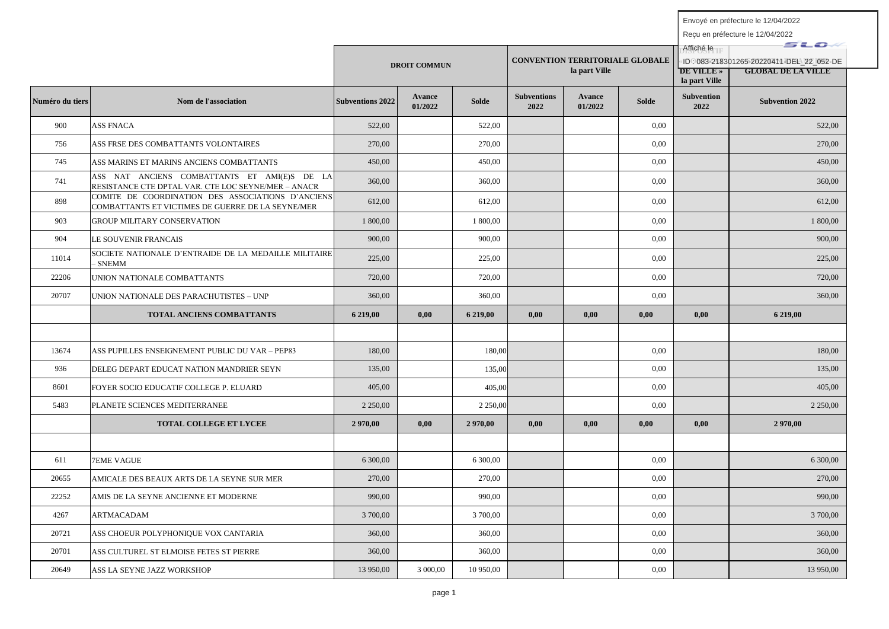|                 |                                                                                                        |                         | <b>DROIT COMMUN</b> |            |                            | <b>CONVENTION TERRITORIALE GLOBALE</b><br>la part Ville |       | Affiché le<br><b>DE VILLE</b> »<br>la part Ville | sto.<br>ID: 083-218301265-20220411-DEL 22 052-DE<br><b>GLOBAL DE LA VILLE</b> |
|-----------------|--------------------------------------------------------------------------------------------------------|-------------------------|---------------------|------------|----------------------------|---------------------------------------------------------|-------|--------------------------------------------------|-------------------------------------------------------------------------------|
| Numéro du tiers | Nom de l'association                                                                                   | <b>Subventions 2022</b> | Avance<br>01/2022   | Solde      | <b>Subventions</b><br>2022 | <b>Avance</b><br>01/2022                                | Solde | <b>Subvention</b><br>2022                        | <b>Subvention 2022</b>                                                        |
| 900             | <b>ASS FNACA</b>                                                                                       | 522,00                  |                     | 522,00     |                            |                                                         | 0,00  |                                                  | 522.00                                                                        |
| 756             | ASS FRSE DES COMBATTANTS VOLONTAIRES                                                                   | 270,00                  |                     | 270,00     |                            |                                                         | 0,00  |                                                  | 270,00                                                                        |
| 745             | ASS MARINS ET MARINS ANCIENS COMBATTANTS                                                               | 450,00                  |                     | 450,00     |                            |                                                         | 0.00  |                                                  | 450.00                                                                        |
| 741             | ASS NAT ANCIENS COMBATTANTS ET AMI(E)S DE LA<br>RESISTANCE CTE DPTAL VAR. CTE LOC SEYNE/MER - ANACR    | 360,00                  |                     | 360,00     |                            |                                                         | 0,00  |                                                  | 360,00                                                                        |
| 898             | COMITE DE COORDINATION DES ASSOCIATIONS D'ANCIENS<br>COMBATTANTS ET VICTIMES DE GUERRE DE LA SEYNE/MER | 612,00                  |                     | 612,00     |                            |                                                         | 0,00  |                                                  | 612,00                                                                        |
| 903             | <b>GROUP MILITARY CONSERVATION</b>                                                                     | 1 800,00                |                     | 1 800,00   |                            |                                                         | 0,00  |                                                  | 1 800,00                                                                      |
| 904             | LE SOUVENIR FRANCAIS                                                                                   | 900,00                  |                     | 900,00     |                            |                                                         | 0.00  |                                                  | 900,00                                                                        |
| 11014           | SOCIETE NATIONALE D'ENTRAIDE DE LA MEDAILLE MILITAIRE<br><b>SNEMM</b>                                  | 225,00                  |                     | 225,00     |                            |                                                         | 0,00  |                                                  | 225,00                                                                        |
| 22206           | UNION NATIONALE COMBATTANTS                                                                            | 720,00                  |                     | 720,00     |                            |                                                         | 0,00  |                                                  | 720,00                                                                        |
| 20707           | UNION NATIONALE DES PARACHUTISTES – UNP                                                                | 360,00                  |                     | 360,00     |                            |                                                         | 0,00  |                                                  | 360,00                                                                        |
|                 | TOTAL ANCIENS COMBATTANTS                                                                              | 6 219,00                | 0,00                | 6 219,00   | 0,00                       | 0,00                                                    | 0,00  | 0,00                                             | 6 219,00                                                                      |
|                 |                                                                                                        |                         |                     |            |                            |                                                         |       |                                                  |                                                                               |
| 13674           | ASS PUPILLES ENSEIGNEMENT PUBLIC DU VAR - PEP83                                                        | 180,00                  |                     | 180,00     |                            |                                                         | 0,00  |                                                  | 180,00                                                                        |
| 936             | DELEG DEPART EDUCAT NATION MANDRIER SEYN                                                               | 135,00                  |                     | 135,00     |                            |                                                         | 0,00  |                                                  | 135,00                                                                        |
| 8601            | FOYER SOCIO EDUCATIF COLLEGE P. ELUARD                                                                 | 405,00                  |                     | 405,00     |                            |                                                         | 0.00  |                                                  | 405,00                                                                        |
| 5483            | PLANETE SCIENCES MEDITERRANEE                                                                          | 2 2 5 0,00              |                     | 2 2 5 0,00 |                            |                                                         | 0,00  |                                                  | 2 2 5 0 , 0 0                                                                 |
|                 | <b>TOTAL COLLEGE ET LYCEE</b>                                                                          | 2 970,00                | 0,00                | 2 970,00   | 0.00                       | 0.00                                                    | 0,00  | 0.00                                             | 2 970,00                                                                      |
|                 |                                                                                                        |                         |                     |            |                            |                                                         |       |                                                  |                                                                               |
| 611             | <b>7EME VAGUE</b>                                                                                      | 6 300,00                |                     | 6 300,00   |                            |                                                         | 0,00  |                                                  | 6 300,00                                                                      |
| 20655           | AMICALE DES BEAUX ARTS DE LA SEYNE SUR MER                                                             | 270,00                  |                     | 270,00     |                            |                                                         | 0.00  |                                                  | 270,00                                                                        |
| 22252           | AMIS DE LA SEYNE ANCIENNE ET MODERNE                                                                   | 990,00                  |                     | 990.00     |                            |                                                         | 0.00  |                                                  | 990.00                                                                        |
| 4267            | ARTMACADAM                                                                                             | 3 700,00                |                     | 3 700,00   |                            |                                                         | 0,00  |                                                  | 3 700,00                                                                      |
| 20721           | ASS CHOEUR POLYPHONIQUE VOX CANTARIA                                                                   | 360,00                  |                     | 360,00     |                            |                                                         | 0,00  |                                                  | 360,00                                                                        |
| 20701           | ASS CULTUREL ST ELMOISE FETES ST PIERRE                                                                | 360,00                  |                     | 360,00     |                            |                                                         | 0.00  |                                                  | 360,00                                                                        |
| 20649           | ASS LA SEYNE JAZZ WORKSHOP                                                                             | 13 950,00               | 3 000,00            | 10 950,00  |                            |                                                         | 0,00  |                                                  | 13 950,00                                                                     |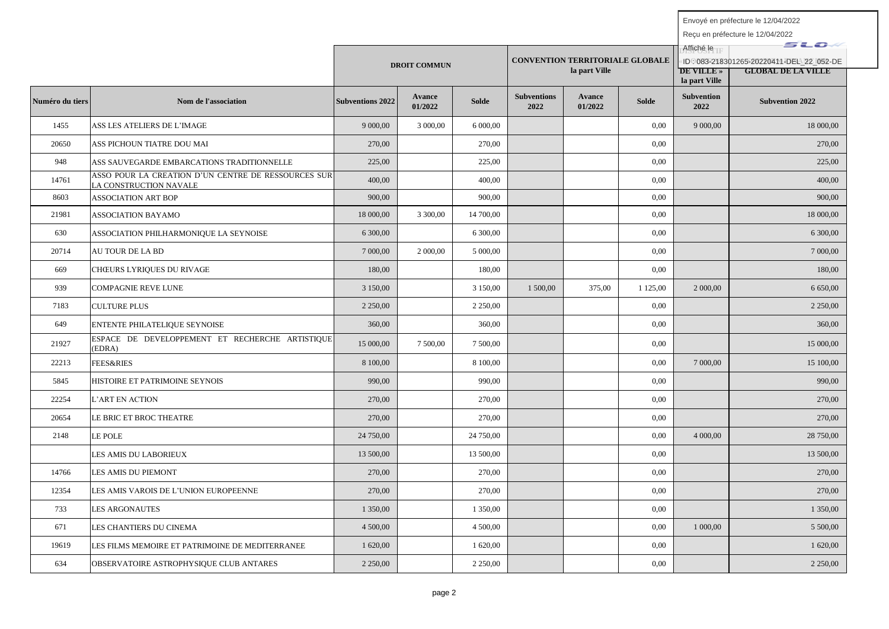|                 |                                                                               |                         |                     |              |                            |                                                         | Affiché le   | sto                                                                                        |                        |
|-----------------|-------------------------------------------------------------------------------|-------------------------|---------------------|--------------|----------------------------|---------------------------------------------------------|--------------|--------------------------------------------------------------------------------------------|------------------------|
|                 |                                                                               |                         | <b>DROIT COMMUN</b> |              |                            | <b>CONVENTION TERRITORIALE GLOBALE</b><br>la part Ville |              | ID: 083-218301265-20220411-DEL 22 052-DE<br><b>GLOBAL DE LA VILLE</b><br><b>DE VILLE</b> » |                        |
|                 |                                                                               |                         |                     |              |                            |                                                         |              | la part Ville                                                                              |                        |
| Numéro du tiers | Nom de l'association                                                          | <b>Subventions 2022</b> | Avance<br>01/2022   | <b>Solde</b> | <b>Subventions</b><br>2022 | Avance<br>01/2022                                       | <b>Solde</b> | <b>Subvention</b><br>2022                                                                  | <b>Subvention 2022</b> |
| 1455            | ASS LES ATELIERS DE L'IMAGE                                                   | 9 000,00                | 3 000,00            | 6 000,00     |                            |                                                         | 0,00         | 9 000,00                                                                                   | 18 000,00              |
| 20650           | ASS PICHOUN TIATRE DOU MAI                                                    | 270,00                  |                     | 270,00       |                            |                                                         | 0,00         |                                                                                            | 270.00                 |
| 948             | ASS SAUVEGARDE EMBARCATIONS TRADITIONNELLE                                    | 225,00                  |                     | 225,00       |                            |                                                         | 0,00         |                                                                                            | 225,00                 |
| 14761           | ASSO POUR LA CREATION D'UN CENTRE DE RESSOURCES SUR<br>LA CONSTRUCTION NAVALE | 400,00                  |                     | 400,00       |                            |                                                         | 0,00         |                                                                                            | 400,00                 |
| 8603            | <b>ASSOCIATION ART BOP</b>                                                    | 900,00                  |                     | 900,00       |                            |                                                         | 0.00         |                                                                                            | 900,00                 |
| 21981           | <b>ASSOCIATION BAYAMO</b>                                                     | 18 000,00               | 3 300,00            | 14 700,00    |                            |                                                         | 0.00         |                                                                                            | 18 000,00              |
| 630             | ASSOCIATION PHILHARMONIQUE LA SEYNOISE                                        | 6 300,00                |                     | 6 300,00     |                            |                                                         | 0.00         |                                                                                            | 6 300,00               |
| 20714           | AU TOUR DE LA BD                                                              | 7 000,00                | 2 000,00            | 5 000,00     |                            |                                                         | 0,00         |                                                                                            | 7 000,00               |
| 669             | CHŒURS LYRIQUES DU RIVAGE                                                     | 180,00                  |                     | 180,00       |                            |                                                         | 0,00         |                                                                                            | 180,00                 |
| 939             | COMPAGNIE REVE LUNE                                                           | 3 150,00                |                     | 3 150,00     | 1 500,00                   | 375,00                                                  | 1 1 2 5 ,00  | 2 000,00                                                                                   | 6 650,00               |
| 7183            | <b>CULTURE PLUS</b>                                                           | 2 2 5 0 0 0             |                     | 2 2 5 0 0 0  |                            |                                                         | 0,00         |                                                                                            | 2 2 5 0 0 0            |
| 649             | ENTENTE PHILATELIQUE SEYNOISE                                                 | 360,00                  |                     | 360,00       |                            |                                                         | 0,00         |                                                                                            | 360,00                 |
| 21927           | ESPACE DE DEVELOPPEMENT ET RECHERCHE ARTISTIQUE<br>(EDRA)                     | 15 000,00               | 7 500,00            | 7 500,00     |                            |                                                         | 0,00         |                                                                                            | 15 000,00              |
| 22213           | <b>FEES&amp;RIES</b>                                                          | 8 100,00                |                     | 8 100,00     |                            |                                                         | 0,00         | 7 000,00                                                                                   | 15 100,00              |
| 5845            | HISTOIRE ET PATRIMOINE SEYNOIS                                                | 990,00                  |                     | 990,00       |                            |                                                         | 0,00         |                                                                                            | 990,00                 |
| 22254           | L'ART EN ACTION                                                               | 270,00                  |                     | 270,00       |                            |                                                         | 0,00         |                                                                                            | 270,00                 |
| 20654           | LE BRIC ET BROC THEATRE                                                       | 270,00                  |                     | 270,00       |                            |                                                         | 0,00         |                                                                                            | 270,00                 |
| 2148            | LE POLE                                                                       | 24 750,00               |                     | 24 750,00    |                            |                                                         | 0,00         | 4 000,00                                                                                   | 28 750,00              |
|                 | LES AMIS DU LABORIEUX                                                         | 13 500,00               |                     | 13 500,00    |                            |                                                         | 0,00         |                                                                                            | 13 500,00              |
| 14766           | LES AMIS DU PIEMONT                                                           | 270,00                  |                     | 270,00       |                            |                                                         | 0,00         |                                                                                            | 270.00                 |
| 12354           | LES AMIS VAROIS DE L'UNION EUROPEENNE                                         | 270,00                  |                     | 270,00       |                            |                                                         | 0,00         |                                                                                            | 270.00                 |
| 733             | LES ARGONAUTES                                                                | 1 350,00                |                     | 1 350,00     |                            |                                                         | 0,00         |                                                                                            | 1 350,00               |
| 671             | LES CHANTIERS DU CINEMA                                                       | 4 500,00                |                     | 4 500,00     |                            |                                                         | 0,00         | 1 000,00                                                                                   | 5 500,00               |
| 19619           | LES FILMS MEMOIRE ET PATRIMOINE DE MEDITERRANEE                               | 1 620,00                |                     | 1 620,00     |                            |                                                         | 0,00         |                                                                                            | 1 620,00               |
| 634             | OBSERVATOIRE ASTROPHYSIQUE CLUB ANTARES                                       | 2 2 5 0 , 0 0           |                     | 2 2 5 0 ,00  |                            |                                                         | 0,00         |                                                                                            | 2 2 5 0,00             |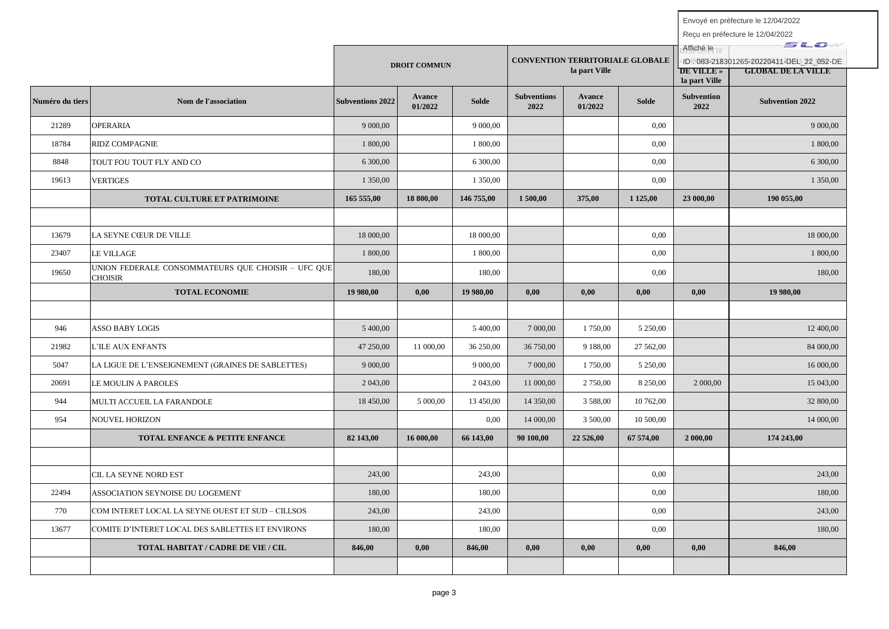|                 |                                                                      |                         | <b>DROIT COMMUN</b> |              |                            | <b>CONVENTION TERRITORIALE GLOBALE</b><br>la part Ville |              | Affiché le<br><b>DE VILLE</b> »<br>la part Ville | sto<br>ID:083-218301265-20220411-DEL 22 052-DE<br><b>GLOBAL DE LA VILLE</b> |
|-----------------|----------------------------------------------------------------------|-------------------------|---------------------|--------------|----------------------------|---------------------------------------------------------|--------------|--------------------------------------------------|-----------------------------------------------------------------------------|
| Numéro du tiers | Nom de l'association                                                 | <b>Subventions 2022</b> | Avance<br>01/2022   | <b>Solde</b> | <b>Subventions</b><br>2022 | Avance<br>01/2022                                       | <b>Solde</b> | <b>Subvention</b><br>2022                        | <b>Subvention 2022</b>                                                      |
| 21289           | <b>OPERARIA</b>                                                      | 9 000,00                |                     | 9 000,00     |                            |                                                         | 0,00         |                                                  | 9 000,00                                                                    |
| 18784           | <b>RIDZ COMPAGNIE</b>                                                | 1 800,00                |                     | 1 800,00     |                            |                                                         | 0,00         |                                                  | 1 800,00                                                                    |
| 8848            | TOUT FOU TOUT FLY AND CO                                             | 6 300,00                |                     | 6 300,00     |                            |                                                         | 0,00         |                                                  | 6 300,00                                                                    |
| 19613           | <b>VERTIGES</b>                                                      | 1 350,00                |                     | 1 350,00     |                            |                                                         | 0,00         |                                                  | 1 350,00                                                                    |
|                 | <b>TOTAL CULTURE ET PATRIMOINE</b>                                   | 165 555,00              | 18 800,00           | 146 755,00   | 1500,00                    | 375,00                                                  | 1 1 25,00    | 23 000,00                                        | 190 055,00                                                                  |
|                 |                                                                      |                         |                     |              |                            |                                                         |              |                                                  |                                                                             |
| 13679           | LA SEYNE CŒUR DE VILLE                                               | 18 000,00               |                     | 18 000,00    |                            |                                                         | 0.00         |                                                  | 18 000,00                                                                   |
| 23407           | LE VILLAGE                                                           | 1 800,00                |                     | 1 800,00     |                            |                                                         | 0,00         |                                                  | 1 800,00                                                                    |
| 19650           | UNION FEDERALE CONSOMMATEURS QUE CHOISIR - UFC QUE<br><b>CHOISIR</b> | 180.00                  |                     | 180.00       |                            |                                                         | 0.00         |                                                  | 180.00                                                                      |
|                 | <b>TOTAL ECONOMIE</b>                                                | 19 980,00               | 0.00                | 19 980,00    | 0.00                       | 0.00                                                    | 0,00         | 0.00                                             | 19 980,00                                                                   |
|                 |                                                                      |                         |                     |              |                            |                                                         |              |                                                  |                                                                             |
| 946             | ASSO BABY LOGIS                                                      | 5 400,00                |                     | 5 400,00     | 7 000,00                   | 1 750,00                                                | 5 250,00     |                                                  | 12 400,00                                                                   |
| 21982           | <b>L'ILE AUX ENFANTS</b>                                             | 47 250,00               | 11 000,00           | 36 250,00    | 36 750,00                  | 9 188,00                                                | 27 562,00    |                                                  | 84 000,00                                                                   |
| 5047            | LA LIGUE DE L'ENSEIGNEMENT (GRAINES DE SABLETTES)                    | 9 000,00                |                     | 9 000,00     | 7 000,00                   | 1 750,00                                                | 5 250,00     |                                                  | 16 000,00                                                                   |
| 20691           | LE MOULIN A PAROLES                                                  | 2 043,00                |                     | 2 043,00     | 11 000,00                  | 2 750,00                                                | 8 250,00     | 2 000,00                                         | 15 043,00                                                                   |
| 944             | MULTI ACCUEIL LA FARANDOLE                                           | 18 450,00               | 5 000,00            | 13 450,00    | 14 350,00                  | 3 5 8 8 0 0                                             | 10 762,00    |                                                  | 32 800,00                                                                   |
| 954             | <b>NOUVEL HORIZON</b>                                                |                         |                     | 0,00         | 14 000,00                  | 3 500,00                                                | 10 500,00    |                                                  | 14 000,00                                                                   |
|                 | TOTAL ENFANCE & PETITE ENFANCE                                       | 82 143,00               | 16 000,00           | 66 143,00    | 90 100,00                  | 22 526,00                                               | 67 574,00    | 2 000,00                                         | 174 243,00                                                                  |
|                 |                                                                      |                         |                     |              |                            |                                                         |              |                                                  |                                                                             |
|                 | CIL LA SEYNE NORD EST                                                | 243,00                  |                     | 243,00       |                            |                                                         | 0.00         |                                                  | 243,00                                                                      |
| 22494           | ASSOCIATION SEYNOISE DU LOGEMENT                                     | 180,00                  |                     | 180,00       |                            |                                                         | 0,00         |                                                  | 180,00                                                                      |
| 770             | COM INTERET LOCAL LA SEYNE OUEST ET SUD - CILLSOS                    | 243,00                  |                     | 243,00       |                            |                                                         | 0,00         |                                                  | 243,00                                                                      |
| 13677           | COMITE D'INTERET LOCAL DES SABLETTES ET ENVIRONS                     | 180,00                  |                     | 180,00       |                            |                                                         | 0,00         |                                                  | 180,00                                                                      |
|                 | TOTAL HABITAT / CADRE DE VIE / CIL                                   | 846,00                  | 0,00                | 846,00       | 0,00                       | 0,00                                                    | 0,00         | 0,00                                             | 846,00                                                                      |
|                 |                                                                      |                         |                     |              |                            |                                                         |              |                                                  |                                                                             |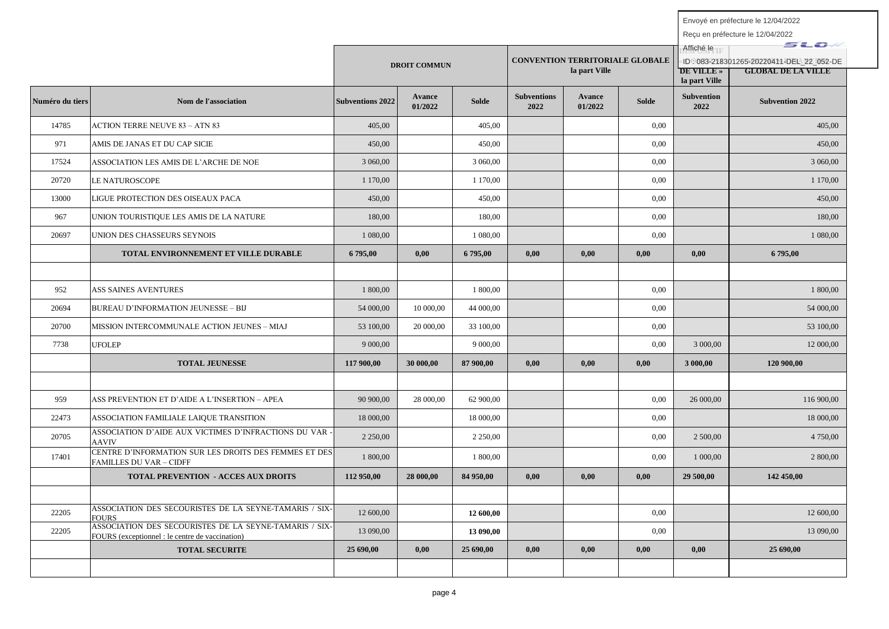|                 |                                                                                                           |                         | <b>DROIT COMMUN</b> |              |                            | <b>CONVENTION TERRITORIALE GLOBALE</b><br>la part Ville |       | Affiché le<br><b>DE VILLE</b> »<br>la part Ville | sto<br>ID: 083-218301265-20220411-DEL 22 052-DE<br><b>GLOBAL DE LA VILLE</b> |
|-----------------|-----------------------------------------------------------------------------------------------------------|-------------------------|---------------------|--------------|----------------------------|---------------------------------------------------------|-------|--------------------------------------------------|------------------------------------------------------------------------------|
| Numéro du tiers | Nom de l'association                                                                                      | <b>Subventions 2022</b> | Avance<br>01/2022   | <b>Solde</b> | <b>Subventions</b><br>2022 | <b>Avance</b><br>01/2022                                | Solde | Subvention<br>2022                               | <b>Subvention 2022</b>                                                       |
| 14785           | <b>ACTION TERRE NEUVE 83 - ATN 83</b>                                                                     | 405.00                  |                     | 405.00       |                            |                                                         | 0.00  |                                                  | 405.00                                                                       |
| 971             | AMIS DE JANAS ET DU CAP SICIE                                                                             | 450,00                  |                     | 450,00       |                            |                                                         | 0.00  |                                                  | 450,00                                                                       |
| 17524           | ASSOCIATION LES AMIS DE L'ARCHE DE NOE                                                                    | 3 060,00                |                     | 3 060,00     |                            |                                                         | 0.00  |                                                  | 3 060,00                                                                     |
| 20720           | LE NATUROSCOPE                                                                                            | 1 170,00                |                     | 1 170,00     |                            |                                                         | 0,00  |                                                  | 1 170,00                                                                     |
| 13000           | LIGUE PROTECTION DES OISEAUX PACA                                                                         | 450,00                  |                     | 450,00       |                            |                                                         | 0,00  |                                                  | 450,00                                                                       |
| 967             | UNION TOURISTIQUE LES AMIS DE LA NATURE                                                                   | 180,00                  |                     | 180,00       |                            |                                                         | 0,00  |                                                  | 180,00                                                                       |
| 20697           | UNION DES CHASSEURS SEYNOIS                                                                               | 1 080,00                |                     | 1 080,00     |                            |                                                         | 0.00  |                                                  | 1 080,00                                                                     |
|                 | TOTAL ENVIRONNEMENT ET VILLE DURABLE                                                                      | 6 795,00                | 0.00                | 6 795,00     | 0,00                       | 0.00                                                    | 0,00  | 0.00 <sub>1</sub>                                | 6 795,00                                                                     |
|                 |                                                                                                           |                         |                     |              |                            |                                                         |       |                                                  |                                                                              |
| 952             | ASS SAINES AVENTURES                                                                                      | 1 800,00                |                     | 1 800,00     |                            |                                                         | 0.00  |                                                  | 1 800,00                                                                     |
| 20694           | BUREAU D'INFORMATION JEUNESSE – BIJ                                                                       | 54 000,00               | 10 000,00           | 44 000,00    |                            |                                                         | 0,00  |                                                  | 54 000,00                                                                    |
| 20700           | MISSION INTERCOMMUNALE ACTION JEUNES - MIAJ                                                               | 53 100,00               | 20 000,00           | 33 100,00    |                            |                                                         | 0.00  |                                                  | 53 100,00                                                                    |
| 7738            | <b>UFOLEP</b>                                                                                             | 9 000,00                |                     | 9 000,00     |                            |                                                         | 0.00  | 3 000,00                                         | 12 000,00                                                                    |
|                 | <b>TOTAL JEUNESSE</b>                                                                                     | 117 900,00              | 30 000,00           | 87 900,00    | 0,00                       | 0,00                                                    | 0,00  | 3 000,00                                         | 120 900,00                                                                   |
|                 |                                                                                                           |                         |                     |              |                            |                                                         |       |                                                  |                                                                              |
| 959             | ASS PREVENTION ET D'AIDE A L'INSERTION – APEA                                                             | 90 900,00               | 28 000,00           | 62 900,00    |                            |                                                         | 0,00  | 26 000,00                                        | 116 900,00                                                                   |
| 22473           | ASSOCIATION FAMILIALE LAIQUE TRANSITION                                                                   | 18 000,00               |                     | 18 000,00    |                            |                                                         | 0.00  |                                                  | 18 000,00                                                                    |
| 20705           | ASSOCIATION D'AIDE AUX VICTIMES D'INFRACTIONS DU VAR<br><b>AAVIV</b>                                      | 2 2 5 0 , 0 0           |                     | 2 2 5 0 ,00  |                            |                                                         | 0,00  | 2 500,00                                         | 4 750,00                                                                     |
| 17401           | CENTRE D'INFORMATION SUR LES DROITS DES FEMMES ET DES<br><b>FAMILLES DU VAR - CIDFF</b>                   | 1 800,00                |                     | 1 800,00     |                            |                                                         | 0,00  | 1 000,00                                         | 2 800,00                                                                     |
|                 | TOTAL PREVENTION - ACCES AUX DROITS                                                                       | 112 950,00              | 28 000,00           | 84 950,00    | 0,00                       | 0,00                                                    | 0,00  | 29 500,00                                        | 142 450,00                                                                   |
|                 |                                                                                                           |                         |                     |              |                            |                                                         |       |                                                  |                                                                              |
| 22205           | ASSOCIATION DES SECOURISTES DE LA SEYNE-TAMARIS / SIX-<br><b>FOURS</b>                                    | 12 600,00               |                     | 12 600,00    |                            |                                                         | 0,00  |                                                  | 12 600,00                                                                    |
| 22205           | ASSOCIATION DES SECOURISTES DE LA SEYNE-TAMARIS / SIX-<br>FOURS (exceptionnel : le centre de vaccination) | 13 090,00               |                     | 13 090,00    |                            |                                                         | 0.00  |                                                  | 13 090,00                                                                    |
|                 | <b>TOTAL SECURITE</b>                                                                                     | 25 690,00               | 0.00                | 25 690,00    | 0.00                       | 0.00                                                    | 0,00  | 0.00                                             | 25 690,00                                                                    |
|                 |                                                                                                           |                         |                     |              |                            |                                                         |       |                                                  |                                                                              |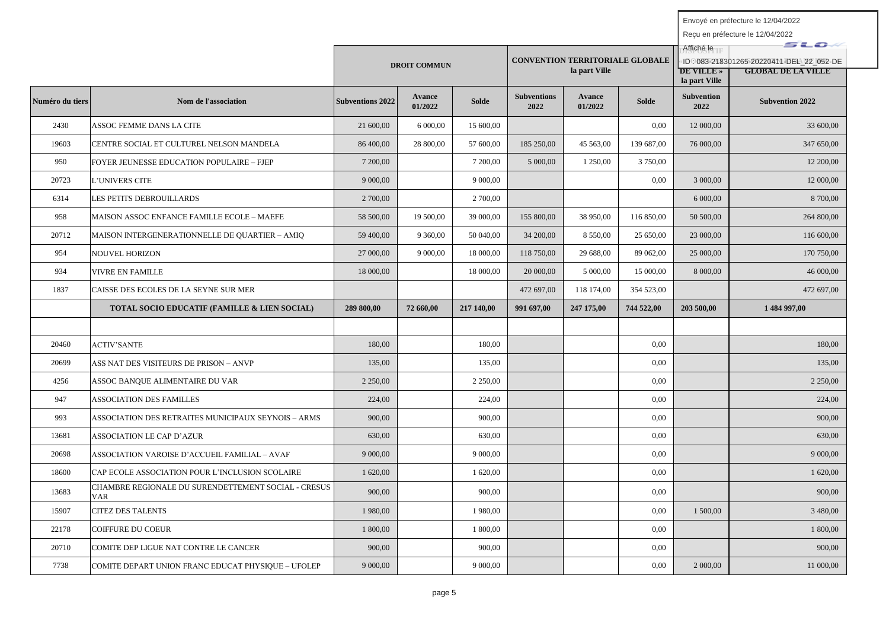|                 |                                                                   |                         | <b>DROIT COMMUN</b> |              |                            | <b>CONVENTION TERRITORIALE GLOBALE</b><br>la part Ville |              | Affiché le<br>DE VILLE »<br>la part Ville | sıo<br>ID: 083-218301265-20220411-DEL 22 052-DE<br><b>GLOBAL DE LA VILLE</b> |
|-----------------|-------------------------------------------------------------------|-------------------------|---------------------|--------------|----------------------------|---------------------------------------------------------|--------------|-------------------------------------------|------------------------------------------------------------------------------|
| Numéro du tiers | Nom de l'association                                              | <b>Subventions 2022</b> | Avance<br>01/2022   | <b>Solde</b> | <b>Subventions</b><br>2022 | Avance<br>01/2022                                       | <b>Solde</b> | <b>Subvention</b><br>2022                 | <b>Subvention 2022</b>                                                       |
| 2430            | ASSOC FEMME DANS LA CITE                                          | 21 600,00               | 6 000,00            | 15 600,00    |                            |                                                         | 0.00         | 12 000,00                                 | 33 600,00                                                                    |
| 19603           | CENTRE SOCIAL ET CULTUREL NELSON MANDELA                          | 86 400,00               | 28 800,00           | 57 600,00    | 185 250,00                 | 45 563,00                                               | 139 687,00   | 76 000,00                                 | 347 650,00                                                                   |
| 950             | FOYER JEUNESSE EDUCATION POPULAIRE – FJEP                         | 7 200,00                |                     | 7 200,00     | 5 000,00                   | 1 250,00                                                | 3 750,00     |                                           | 12 200,00                                                                    |
| 20723           | L'UNIVERS CITE                                                    | 9 000,00                |                     | 9 000,00     |                            |                                                         | 0.00         | 3 000,00                                  | 12 000,00                                                                    |
| 6314            | LES PETITS DEBROUILLARDS                                          | 2 700,00                |                     | 2 700,00     |                            |                                                         |              | 6 000,00                                  | 8 700,00                                                                     |
| 958             | MAISON ASSOC ENFANCE FAMILLE ECOLE - MAEFE                        | 58 500,00               | 19 500,00           | 39 000,00    | 155 800,00                 | 38 950,00                                               | 116 850,00   | 50 500,00                                 | 264 800,00                                                                   |
| 20712           | MAISON INTERGENERATIONNELLE DE QUARTIER – AMIQ                    | 59 400,00               | 9 360,00            | 50 040,00    | 34 200,00                  | 8 550,00                                                | 25 650,00    | 23 000,00                                 | 116 600,00                                                                   |
| 954             | <b>NOUVEL HORIZON</b>                                             | 27 000,00               | 9 000,00            | 18 000,00    | 118 750,00                 | 29 688,00                                               | 89 062,00    | 25 000,00                                 | 170 750,00                                                                   |
| 934             | VIVRE EN FAMILLE                                                  | 18 000,00               |                     | 18 000,00    | 20 000,00                  | 5 000,00                                                | 15 000,00    | 8 000,00                                  | 46 000,00                                                                    |
| 1837            | CAISSE DES ECOLES DE LA SEYNE SUR MER                             |                         |                     |              | 472 697,00                 | 118 174,00                                              | 354 523,00   |                                           | 472 697,00                                                                   |
|                 | <b>TOTAL SOCIO EDUCATIF (FAMILLE &amp; LIEN SOCIAL)</b>           | 289 800,00              | 72 660,00           | 217 140,00   | 991 697,00                 | 247 175,00                                              | 744 522,00   | 203 500,00                                | 1484 997,00                                                                  |
|                 |                                                                   |                         |                     |              |                            |                                                         |              |                                           |                                                                              |
| 20460           | <b>ACTIV'SANTE</b>                                                | 180,00                  |                     | 180,00       |                            |                                                         | 0.00         |                                           | 180,00                                                                       |
| 20699           | ASS NAT DES VISITEURS DE PRISON – ANVP                            | 135,00                  |                     | 135,00       |                            |                                                         | 0.00         |                                           | 135,00                                                                       |
| 4256            | ASSOC BANQUE ALIMENTAIRE DU VAR                                   | 2 2 5 0,00              |                     | 2 2 5 0,00   |                            |                                                         | 0,00         |                                           | 2 2 5 0,00                                                                   |
| 947             | <b>ASSOCIATION DES FAMILLES</b>                                   | 224,00                  |                     | 224,00       |                            |                                                         | 0.00         |                                           | 224,00                                                                       |
| 993             | ASSOCIATION DES RETRAITES MUNICIPAUX SEYNOIS – ARMS               | 900.00                  |                     | 900,00       |                            |                                                         | 0.00         |                                           | 900.00                                                                       |
| 13681           | <b>ASSOCIATION LE CAP D'AZUR</b>                                  | 630,00                  |                     | 630,00       |                            |                                                         | 0.00         |                                           | 630,00                                                                       |
| 20698           | ASSOCIATION VAROISE D'ACCUEIL FAMILIAL – AVAF                     | 9 000,00                |                     | 9 000,00     |                            |                                                         | 0.00         |                                           | 9 000,00                                                                     |
| 18600           | CAP ECOLE ASSOCIATION POUR L'INCLUSION SCOLAIRE                   | 1 620,00                |                     | 1 620,00     |                            |                                                         | 0.00         |                                           | 1 620,00                                                                     |
| 13683           | CHAMBRE REGIONALE DU SURENDETTEMENT SOCIAL - CRESUS<br><b>VAR</b> | 900,00                  |                     | 900,00       |                            |                                                         | 0.00         |                                           | 900,00                                                                       |
| 15907           | <b>CITEZ DES TALENTS</b>                                          | 1980,00                 |                     | 1 980,00     |                            |                                                         | 0.00         | 1 500,00                                  | 3 480,00                                                                     |
| 22178           | COIFFURE DU COEUR                                                 | 1 800,00                |                     | 1 800,00     |                            |                                                         | 0.00         |                                           | 1 800,00                                                                     |
| 20710           | COMITE DEP LIGUE NAT CONTRE LE CANCER                             | 900,00                  |                     | 900,00       |                            |                                                         | 0.00         |                                           | 900,00                                                                       |
| 7738            | COMITE DEPART UNION FRANC EDUCAT PHYSIQUE – UFOLEP                | 9 000,00                |                     | 9 000,00     |                            |                                                         | 0.00         | 2 000,00                                  | 11 000,00                                                                    |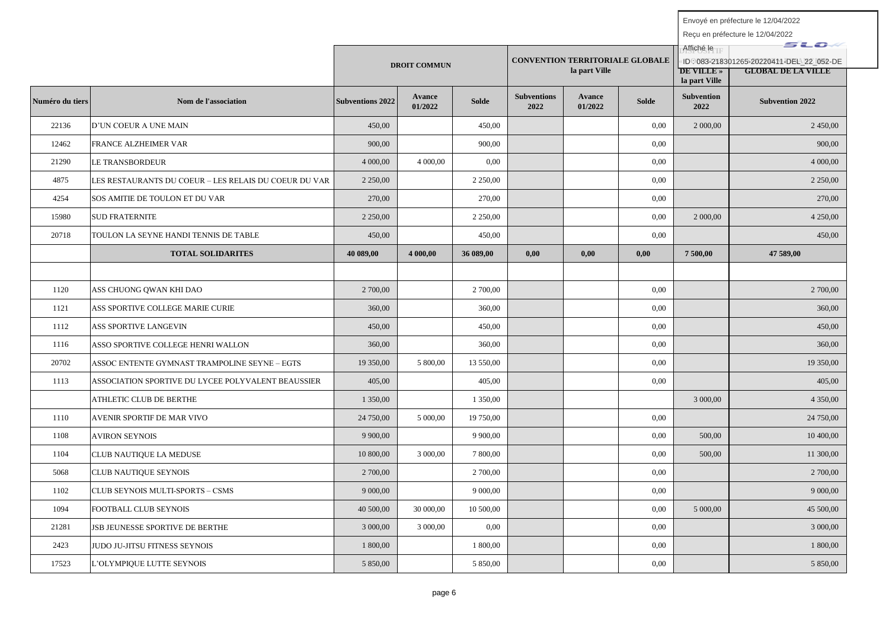|                 |                                                       |                         | <b>DROIT COMMUN</b> |              |                            | <b>CONVENTION TERRITORIALE GLOBALE</b><br>la part Ville |       | Affiché le<br><b>DE VILLE</b> »<br>la part Ville | sto<br>ID: 083-218301265-20220411-DEL 22 052-DE<br><b>GLOBAL DE LA VILLE</b> |
|-----------------|-------------------------------------------------------|-------------------------|---------------------|--------------|----------------------------|---------------------------------------------------------|-------|--------------------------------------------------|------------------------------------------------------------------------------|
| Numéro du tiers | Nom de l'association                                  | <b>Subventions 2022</b> | Avance<br>01/2022   | <b>Solde</b> | <b>Subventions</b><br>2022 | <b>Avance</b><br>01/2022                                | Solde | <b>Subvention</b><br>2022                        | <b>Subvention 2022</b>                                                       |
| 22136           | D'UN COEUR A UNE MAIN                                 | 450,00                  |                     | 450,00       |                            |                                                         | 0.00  | 2 000,00                                         | 2 450,00                                                                     |
| 12462           | FRANCE ALZHEIMER VAR                                  | 900,00                  |                     | 900,00       |                            |                                                         | 0.00  |                                                  | 900,00                                                                       |
| 21290           | LE TRANSBORDEUR                                       | 4 000,00                | 4 000,00            | 0,00         |                            |                                                         | 0,00  |                                                  | 4 000,00                                                                     |
| 4875            | LES RESTAURANTS DU COEUR – LES RELAIS DU COEUR DU VAR | 2 2 5 0 0 0             |                     | 2 2 5 0 ,00  |                            |                                                         | 0.00  |                                                  | 2 2 5 0 0 0                                                                  |
| 4254            | SOS AMITIE DE TOULON ET DU VAR                        | 270,00                  |                     | 270,00       |                            |                                                         | 0.00  |                                                  | 270,00                                                                       |
| 15980           | <b>SUD FRATERNITE</b>                                 | 2 2 5 0,00              |                     | 2 2 5 0,00   |                            |                                                         | 0,00  | 2 000,00                                         | 4 250,00                                                                     |
| 20718           | TOULON LA SEYNE HANDI TENNIS DE TABLE                 | 450,00                  |                     | 450,00       |                            |                                                         | 0.00  |                                                  | 450,00                                                                       |
|                 | <b>TOTAL SOLIDARITES</b>                              | 40 089,00               | 4 000,00            | 36 089,00    | 0,00                       | 0,00                                                    | 0,00  | 7 500,00                                         | 47 589,00                                                                    |
|                 |                                                       |                         |                     |              |                            |                                                         |       |                                                  |                                                                              |
| 1120            | ASS CHUONG QWAN KHI DAO                               | 2 700,00                |                     | 2 700,00     |                            |                                                         | 0.00  |                                                  | 2 700,00                                                                     |
| 1121            | ASS SPORTIVE COLLEGE MARIE CURIE                      | 360,00                  |                     | 360,00       |                            |                                                         | 0.00  |                                                  | 360,00                                                                       |
| 1112            | ASS SPORTIVE LANGEVIN                                 | 450,00                  |                     | 450,00       |                            |                                                         | 0,00  |                                                  | 450,00                                                                       |
| 1116            | ASSO SPORTIVE COLLEGE HENRI WALLON                    | 360,00                  |                     | 360,00       |                            |                                                         | 0,00  |                                                  | 360,00                                                                       |
| 20702           | ASSOC ENTENTE GYMNAST TRAMPOLINE SEYNE – EGTS         | 19 350,00               | 5 800,00            | 13 550,00    |                            |                                                         | 0,00  |                                                  | 19 350,00                                                                    |
| 1113            | ASSOCIATION SPORTIVE DU LYCEE POLYVALENT BEAUSSIER    | 405,00                  |                     | 405,00       |                            |                                                         | 0,00  |                                                  | 405,00                                                                       |
|                 | ATHLETIC CLUB DE BERTHE                               | 1 350,00                |                     | 1 350,00     |                            |                                                         |       | 3 000,00                                         | 4 350,00                                                                     |
| 1110            | AVENIR SPORTIF DE MAR VIVO                            | 24 750,00               | 5 000,00            | 19 750,00    |                            |                                                         | 0.00  |                                                  | 24 750,00                                                                    |
| 1108            | <b>AVIRON SEYNOIS</b>                                 | 9 900,00                |                     | 9 900,00     |                            |                                                         | 0,00  | 500,00                                           | 10 400,00                                                                    |
| 1104            | CLUB NAUTIQUE LA MEDUSE                               | 10 800,00               | 3 000,00            | 7 800,00     |                            |                                                         | 0.00  | 500,00                                           | 11 300,00                                                                    |
| 5068            | CLUB NAUTIQUE SEYNOIS                                 | 2 700,00                |                     | 2 700,00     |                            |                                                         | 0,00  |                                                  | 2 700,00                                                                     |
| 1102            | CLUB SEYNOIS MULTI-SPORTS – CSMS                      | 9 000,00                |                     | 9 000,00     |                            |                                                         | 0,00  |                                                  | 9 000,00                                                                     |
| 1094            | FOOTBALL CLUB SEYNOIS                                 | 40 500,00               | 30 000,00           | 10 500,00    |                            |                                                         | 0.00  | 5 000,00                                         | 45 500,00                                                                    |
| 21281           | <b>JSB JEUNESSE SPORTIVE DE BERTHE</b>                | 3 000,00                | 3 000,00            | 0,00         |                            |                                                         | 0.00  |                                                  | 3 000,00                                                                     |
| 2423            | JUDO JU-JITSU FITNESS SEYNOIS                         | 1 800,00                |                     | 1 800,00     |                            |                                                         | 0,00  |                                                  | 1 800,00                                                                     |
| 17523           | L'OLYMPIOUE LUTTE SEYNOIS                             | 5 850,00                |                     | 5 850,00     |                            |                                                         | 0.00  |                                                  | 5 850,00                                                                     |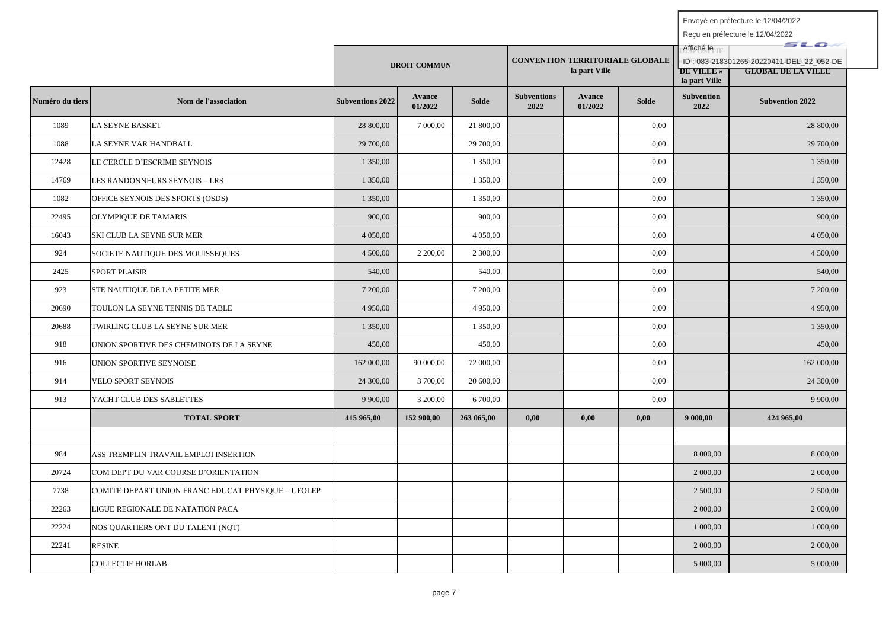|                 |                                                    |                         |                     |              | <b>CONVENTION TERRITORIALE GLOBALE</b> |                   |              | Affiché le                         | <i>s</i> uo                                                           |
|-----------------|----------------------------------------------------|-------------------------|---------------------|--------------|----------------------------------------|-------------------|--------------|------------------------------------|-----------------------------------------------------------------------|
|                 |                                                    |                         | <b>DROIT COMMUN</b> |              |                                        | la part Ville     |              | <b>DE VILLE</b> »<br>la part Ville | ID: 083-218301265-20220411-DEL 22 052-DE<br><b>GLOBAL DE LA VILLE</b> |
| Numéro du tiers | Nom de l'association                               | <b>Subventions 2022</b> | Avance<br>01/2022   | <b>Solde</b> | <b>Subventions</b><br>2022             | Avance<br>01/2022 | <b>Solde</b> | <b>Subvention</b><br>2022          | <b>Subvention 2022</b>                                                |
| 1089            | LA SEYNE BASKET                                    | 28 800,00               | 7 000,00            | 21 800,00    |                                        |                   | 0,00         |                                    | 28 800,00                                                             |
| 1088            | LA SEYNE VAR HANDBALL                              | 29 700,00               |                     | 29 700,00    |                                        |                   | 0,00         |                                    | 29 700,00                                                             |
| 12428           | LE CERCLE D'ESCRIME SEYNOIS                        | 1 350,00                |                     | 1 350,00     |                                        |                   | 0,00         |                                    | 1 350,00                                                              |
| 14769           | LES RANDONNEURS SEYNOIS - LRS                      | 1 350,00                |                     | 1 350,00     |                                        |                   | 0,00         |                                    | 1 350,00                                                              |
| 1082            | OFFICE SEYNOIS DES SPORTS (OSDS)                   | 1 350,00                |                     | 1 350,00     |                                        |                   | 0,00         |                                    | 1 350,00                                                              |
| 22495           | OLYMPIOUE DE TAMARIS                               | 900,00                  |                     | 900,00       |                                        |                   | 0,00         |                                    | 900,00                                                                |
| 16043           | SKI CLUB LA SEYNE SUR MER                          | 4 050,00                |                     | 4 050,00     |                                        |                   | 0,00         |                                    | 4 050,00                                                              |
| 924             | SOCIETE NAUTIQUE DES MOUISSEQUES                   | 4 500,00                | 2 200,00            | 2 300,00     |                                        |                   | 0,00         |                                    | 4 500,00                                                              |
| 2425            | <b>SPORT PLAISIR</b>                               | 540,00                  |                     | 540,00       |                                        |                   | 0.00         |                                    | 540,00                                                                |
| 923             | STE NAUTIQUE DE LA PETITE MER                      | 7 200,00                |                     | 7 200,00     |                                        |                   | 0,00         |                                    | 7 200,00                                                              |
| 20690           | TOULON LA SEYNE TENNIS DE TABLE                    | 4 950,00                |                     | 4 950,00     |                                        |                   | 0,00         |                                    | 4 950,00                                                              |
| 20688           | TWIRLING CLUB LA SEYNE SUR MER                     | 1 350,00                |                     | 1 350,00     |                                        |                   | 0,00         |                                    | 1 350,00                                                              |
| 918             | UNION SPORTIVE DES CHEMINOTS DE LA SEYNE           | 450,00                  |                     | 450,00       |                                        |                   | 0,00         |                                    | 450,00                                                                |
| 916             | UNION SPORTIVE SEYNOISE                            | 162 000,00              | 90 000,00           | 72 000,00    |                                        |                   | 0,00         |                                    | 162 000,00                                                            |
| 914             | VELO SPORT SEYNOIS                                 | 24 300,00               | 3 700,00            | 20 600,00    |                                        |                   | 0,00         |                                    | 24 300,00                                                             |
| 913             | YACHT CLUB DES SABLETTES                           | 9 900,00                | 3 200,00            | 6 700,00     |                                        |                   | 0,00         |                                    | 9 900,00                                                              |
|                 | <b>TOTAL SPORT</b>                                 | 415 965,00              | 152 900,00          | 263 065,00   | 0,00                                   | 0,00              | 0,00         | 9 000,00                           | 424 965,00                                                            |
|                 |                                                    |                         |                     |              |                                        |                   |              |                                    |                                                                       |
| 984             | ASS TREMPLIN TRAVAIL EMPLOI INSERTION              |                         |                     |              |                                        |                   |              | 8 000,00                           | 8 000,00                                                              |
| 20724           | COM DEPT DU VAR COURSE D'ORIENTATION               |                         |                     |              |                                        |                   |              | 2 000,00                           | 2 000,00                                                              |
| 7738            | COMITE DEPART UNION FRANC EDUCAT PHYSIQUE – UFOLEP |                         |                     |              |                                        |                   |              | 2 500,00                           | 2 500,00                                                              |
| 22263           | LIGUE REGIONALE DE NATATION PACA                   |                         |                     |              |                                        |                   |              | 2 000,00                           | 2 000,00                                                              |
| 22224           | NOS QUARTIERS ONT DU TALENT (NQT)                  |                         |                     |              |                                        |                   |              | 1 000,00                           | 1 000,00                                                              |
| 22241           | <b>RESINE</b>                                      |                         |                     |              |                                        |                   |              | 2 000,00                           | 2 000,00                                                              |
|                 | <b>COLLECTIF HORLAB</b>                            |                         |                     |              |                                        |                   |              | 5 000,00                           | 5 000,00                                                              |